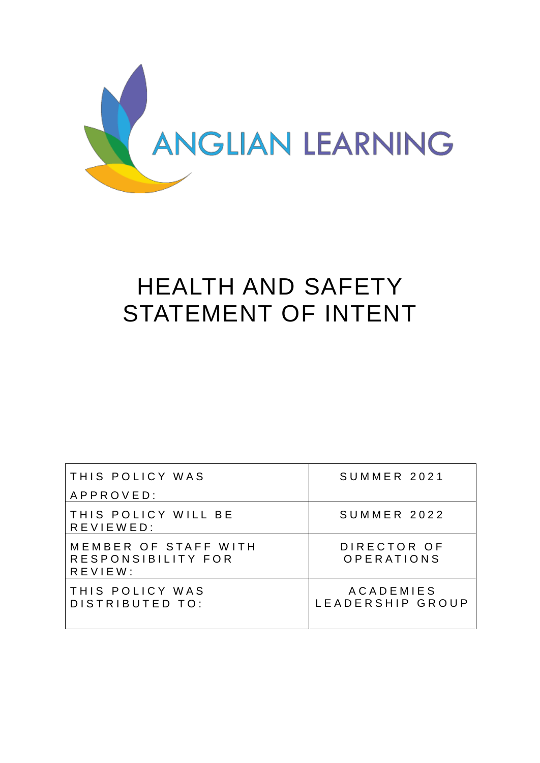

# HEALTH AND SAFETY STATEMENT OF INTENT

| THIS POLICY WAS                                               | SUMMER 2021                          |
|---------------------------------------------------------------|--------------------------------------|
| APPROVED:                                                     |                                      |
| THIS POLICY WILL BE<br>REVIEWED:                              | SUMMER 2022                          |
| MEMBER OF STAFF WITH<br>RESPONSIBILITY FOR<br>$R$ E V I E W : | DIRECTOR OF<br>OPERATIONS            |
| THIS POLICY WAS<br>DISTRIBUTED TO:                            | <b>ACADEMIES</b><br>LEADERSHIP GROUP |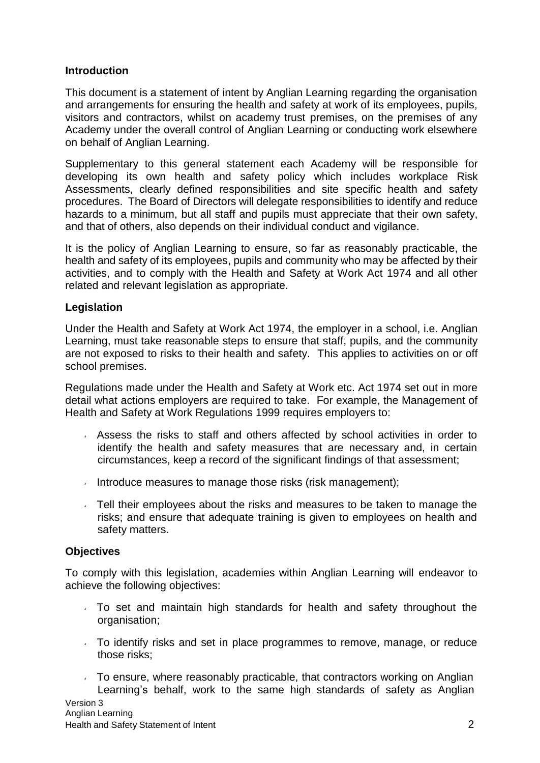#### **Introduction**

This document is a statement of intent by Anglian Learning regarding the organisation and arrangements for ensuring the health and safety at work of its employees, pupils, visitors and contractors, whilst on academy trust premises, on the premises of any Academy under the overall control of Anglian Learning or conducting work elsewhere on behalf of Anglian Learning.

Supplementary to this general statement each Academy will be responsible for developing its own health and safety policy which includes workplace Risk Assessments, clearly defined responsibilities and site specific health and safety procedures. The Board of Directors will delegate responsibilities to identify and reduce hazards to a minimum, but all staff and pupils must appreciate that their own safety, and that of others, also depends on their individual conduct and vigilance.

It is the policy of Anglian Learning to ensure, so far as reasonably practicable, the health and safety of its employees, pupils and community who may be affected by their activities, and to comply with the Health and Safety at Work Act 1974 and all other related and relevant legislation as appropriate.

#### **Legislation**

Under the Health and Safety at Work Act 1974, the employer in a school, i.e. Anglian Learning, must take reasonable steps to ensure that staff, pupils, and the community are not exposed to risks to their health and safety. This applies to activities on or off school premises.

Regulations made under the Health and Safety at Work etc. Act 1974 set out in more detail what actions employers are required to take. For example, the Management of Health and Safety at Work Regulations 1999 requires employers to:

- Assess the risks to staff and others affected by school activities in order to identify the health and safety measures that are necessary and, in certain circumstances, keep a record of the significant findings of that assessment;
- Introduce measures to manage those risks (risk management);
- Tell their employees about the risks and measures to be taken to manage the risks; and ensure that adequate training is given to employees on health and safety matters.

#### **Objectives**

To comply with this legislation, academies within Anglian Learning will endeavor to achieve the following objectives:

- To set and maintain high standards for health and safety throughout the organisation:
- To identify risks and set in place programmes to remove, manage, or reduce those risks;
- $\overline{1}$  To ensure, where reasonably practicable, that contractors working on Anglian Learning's behalf, work to the same high standards of safety as Anglian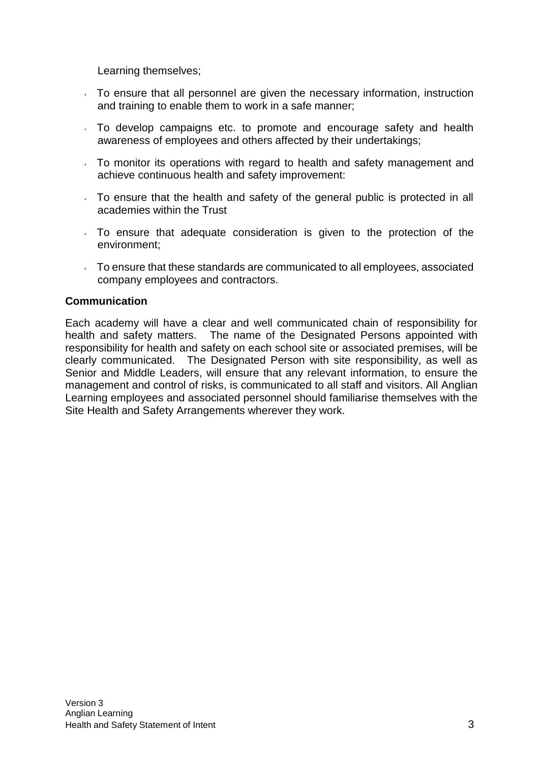Learning themselves;

- To ensure that all personnel are given the necessary information, instruction and training to enable them to work in a safe manner;
- To develop campaigns etc. to promote and encourage safety and health awareness of employees and others affected by their undertakings;
- To monitor its operations with regard to health and safety management and achieve continuous health and safety improvement:
- To ensure that the health and safety of the general public is protected in all academies within the Trust
- To ensure that adequate consideration is given to the protection of the environment;
- To ensure that these standards are communicated to all employees, associated company employees and contractors.

#### **Communication**

Each academy will have a clear and well communicated chain of responsibility for health and safety matters. The name of the Designated Persons appointed with responsibility for health and safety on each school site or associated premises, will be clearly communicated. The Designated Person with site responsibility, as well as Senior and Middle Leaders, will ensure that any relevant information, to ensure the management and control of risks, is communicated to all staff and visitors. All Anglian Learning employees and associated personnel should familiarise themselves with the Site Health and Safety Arrangements wherever they work.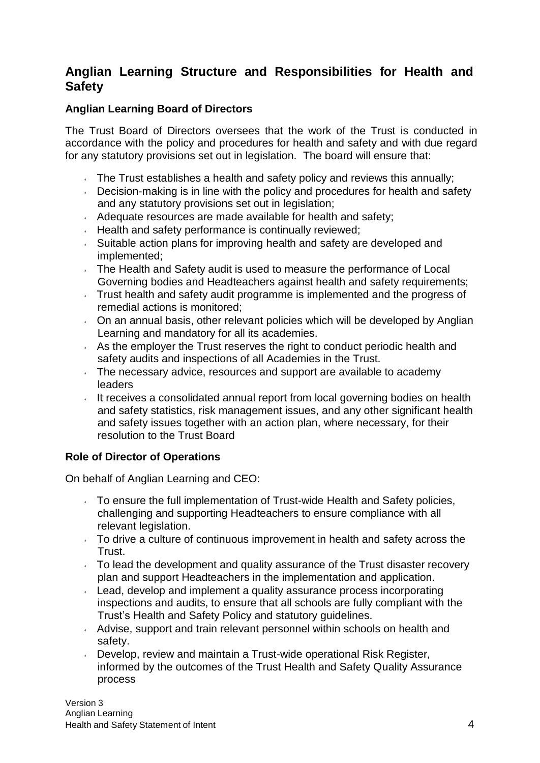# **Anglian Learning Structure and Responsibilities for Health and Safety**

#### **Anglian Learning Board of Directors**

The Trust Board of Directors oversees that the work of the Trust is conducted in accordance with the policy and procedures for health and safety and with due regard for any statutory provisions set out in legislation. The board will ensure that:

- The Trust establishes a health and safety policy and reviews this annually;
- $\sim$  Decision-making is in line with the policy and procedures for health and safety and any statutory provisions set out in legislation;
- $\sim$  Adequate resources are made available for health and safety;
- $\cdot$  Health and safety performance is continually reviewed;
- Suitable action plans for improving health and safety are developed and implemented;
- The Health and Safety audit is used to measure the performance of Local Governing bodies and Headteachers against health and safety requirements;
- Trust health and safety audit programme is implemented and the progress of remedial actions is monitored;
- On an annual basis, other relevant policies which will be developed by Anglian Learning and mandatory for all its academies.
- As the employer the Trust reserves the right to conduct periodic health and safety audits and inspections of all Academies in the Trust.
- The necessary advice, resources and support are available to academy leaders
- It receives a consolidated annual report from local governing bodies on health and safety statistics, risk management issues, and any other significant health and safety issues together with an action plan, where necessary, for their resolution to the Trust Board

# **Role of Director of Operations**

On behalf of Anglian Learning and CEO:

- $\sim$  To ensure the full implementation of Trust-wide Health and Safety policies, challenging and supporting Headteachers to ensure compliance with all relevant legislation.
- To drive a culture of continuous improvement in health and safety across the Trust.
- $\sqrt{ }$  To lead the development and quality assurance of the Trust disaster recovery plan and support Headteachers in the implementation and application.
- Lead, develop and implement a quality assurance process incorporating inspections and audits, to ensure that all schools are fully compliant with the Trust's Health and Safety Policy and statutory guidelines.
- Advise, support and train relevant personnel within schools on health and safety.
- Develop, review and maintain a Trust-wide operational Risk Register, informed by the outcomes of the Trust Health and Safety Quality Assurance process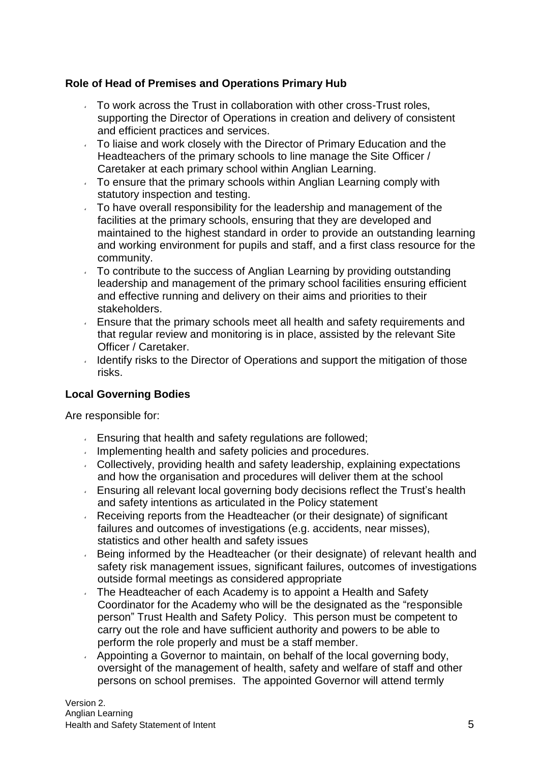### **Role of Head of Premises and Operations Primary Hub**

- $\sim$  To work across the Trust in collaboration with other cross-Trust roles, supporting the Director of Operations in creation and delivery of consistent and efficient practices and services.
- To liaise and work closely with the Director of Primary Education and the Headteachers of the primary schools to line manage the Site Officer / Caretaker at each primary school within Anglian Learning.
- $\sim$  To ensure that the primary schools within Anglian Learning comply with statutory inspection and testing.
- $\sim$  To have overall responsibility for the leadership and management of the facilities at the primary schools, ensuring that they are developed and maintained to the highest standard in order to provide an outstanding learning and working environment for pupils and staff, and a first class resource for the community.
- To contribute to the success of Anglian Learning by providing outstanding leadership and management of the primary school facilities ensuring efficient and effective running and delivery on their aims and priorities to their stakeholders.
- Ensure that the primary schools meet all health and safety requirements and that regular review and monitoring is in place, assisted by the relevant Site Officer / Caretaker.
- Identify risks to the Director of Operations and support the mitigation of those risks.

#### **Local Governing Bodies**

Are responsible for:

- Ensuring that health and safety regulations are followed;
- Implementing health and safety policies and procedures.
- Collectively, providing health and safety leadership, explaining expectations and how the organisation and procedures will deliver them at the school
- **Ensuring all relevant local governing body decisions reflect the Trust's health** and safety intentions as articulated in the Policy statement
- Receiving reports from the Headteacher (or their designate) of significant failures and outcomes of investigations (e.g. accidents, near misses), statistics and other health and safety issues
- Being informed by the Headteacher (or their designate) of relevant health and safety risk management issues, significant failures, outcomes of investigations outside formal meetings as considered appropriate
- The Headteacher of each Academy is to appoint a Health and Safety Coordinator for the Academy who will be the designated as the "responsible person" Trust Health and Safety Policy. This person must be competent to carry out the role and have sufficient authority and powers to be able to perform the role properly and must be a staff member.
- Appointing a Governor to maintain, on behalf of the local governing body, oversight of the management of health, safety and welfare of staff and other persons on school premises. The appointed Governor will attend termly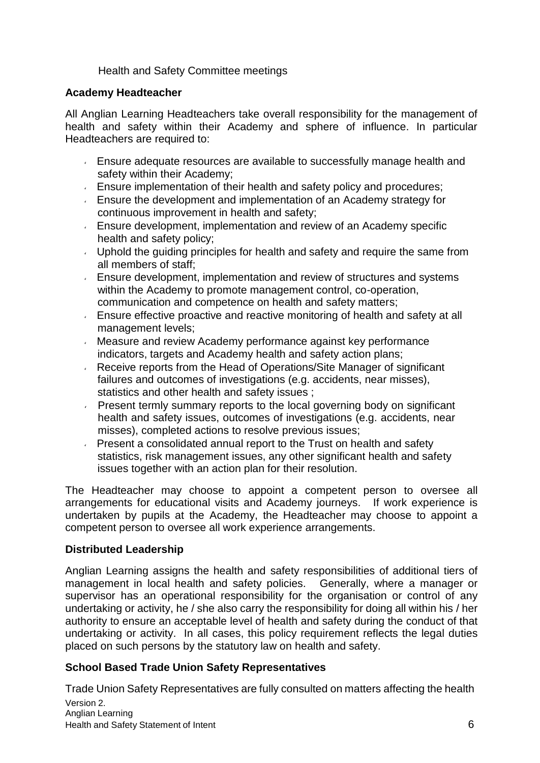Health and Safety Committee meetings

#### **Academy Headteacher**

All Anglian Learning Headteachers take overall responsibility for the management of health and safety within their Academy and sphere of influence. In particular Headteachers are required to:

- Ensure adequate resources are available to successfully manage health and safety within their Academy;
- Ensure implementation of their health and safety policy and procedures;
- Ensure the development and implementation of an Academy strategy for continuous improvement in health and safety;
- Ensure development, implementation and review of an Academy specific health and safety policy;
- Uphold the guiding principles for health and safety and require the same from all members of staff;
- Ensure development, implementation and review of structures and systems within the Academy to promote management control, co-operation, communication and competence on health and safety matters;
- Ensure effective proactive and reactive monitoring of health and safety at all management levels;
- Measure and review Academy performance against key performance indicators, targets and Academy health and safety action plans;
- Receive reports from the Head of Operations/Site Manager of significant failures and outcomes of investigations (e.g. accidents, near misses), statistics and other health and safety issues ;
- Present termly summary reports to the local governing body on significant  $\epsilon$ health and safety issues, outcomes of investigations (e.g. accidents, near misses), completed actions to resolve previous issues;
- **Present a consolidated annual report to the Trust on health and safety** statistics, risk management issues, any other significant health and safety issues together with an action plan for their resolution.

The Headteacher may choose to appoint a competent person to oversee all arrangements for educational visits and Academy journeys. If work experience is undertaken by pupils at the Academy, the Headteacher may choose to appoint a competent person to oversee all work experience arrangements.

#### **Distributed Leadership**

Anglian Learning assigns the health and safety responsibilities of additional tiers of management in local health and safety policies. Generally, where a manager or supervisor has an operational responsibility for the organisation or control of any undertaking or activity, he / she also carry the responsibility for doing all within his / her authority to ensure an acceptable level of health and safety during the conduct of that undertaking or activity. In all cases, this policy requirement reflects the legal duties placed on such persons by the statutory law on health and safety.

# **School Based Trade Union Safety Representatives**

Version 2. Anglian Learning Health and Safety Statement of Intent 6 Trade Union Safety Representatives are fully consulted on matters affecting the health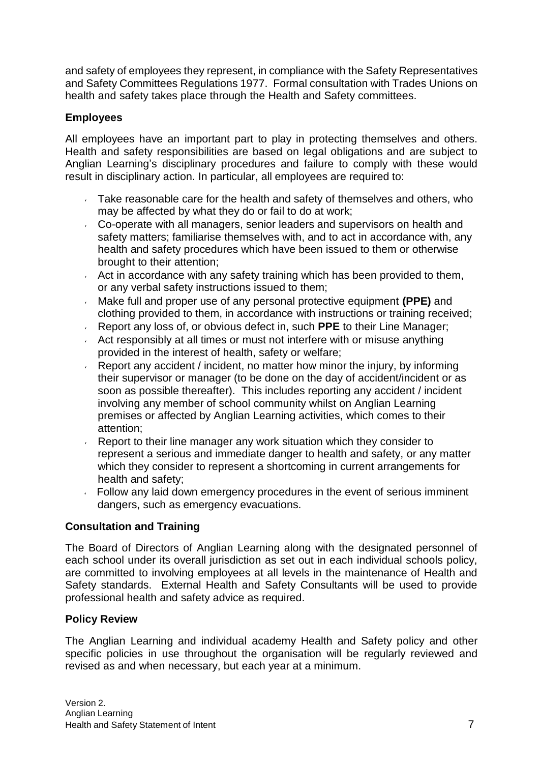and safety of employees they represent, in compliance with the Safety Representatives and Safety Committees Regulations 1977. Formal consultation with Trades Unions on health and safety takes place through the Health and Safety committees.

## **Employees**

All employees have an important part to play in protecting themselves and others. Health and safety responsibilities are based on legal obligations and are subject to Anglian Learning's disciplinary procedures and failure to comply with these would result in disciplinary action. In particular, all employees are required to:

- Take reasonable care for the health and safety of themselves and others, who may be affected by what they do or fail to do at work;
- Co-operate with all managers, senior leaders and supervisors on health and safety matters; familiarise themselves with, and to act in accordance with, any health and safety procedures which have been issued to them or otherwise brought to their attention;
- Act in accordance with any safety training which has been provided to them, or any verbal safety instructions issued to them;
- Make full and proper use of any personal protective equipment **(PPE)** and  $\epsilon$ clothing provided to them, in accordance with instructions or training received;
- Report any loss of, or obvious defect in, such **PPE** to their Line Manager;
- Act responsibly at all times or must not interfere with or misuse anything  $\epsilon$ provided in the interest of health, safety or welfare;
- Report any accident / incident, no matter how minor the injury, by informing their supervisor or manager (to be done on the day of accident/incident or as soon as possible thereafter). This includes reporting any accident / incident involving any member of school community whilst on Anglian Learning premises or affected by Anglian Learning activities, which comes to their attention;
- $\mathbf{v}^{\left(1\right)}$ Report to their line manager any work situation which they consider to represent a serious and immediate danger to health and safety, or any matter which they consider to represent a shortcoming in current arrangements for health and safety;
- Follow any laid down emergency procedures in the event of serious imminent dangers, such as emergency evacuations.

#### **Consultation and Training**

The Board of Directors of Anglian Learning along with the designated personnel of each school under its overall jurisdiction as set out in each individual schools policy, are committed to involving employees at all levels in the maintenance of Health and Safety standards. External Health and Safety Consultants will be used to provide professional health and safety advice as required.

#### **Policy Review**

The Anglian Learning and individual academy Health and Safety policy and other specific policies in use throughout the organisation will be regularly reviewed and revised as and when necessary, but each year at a minimum.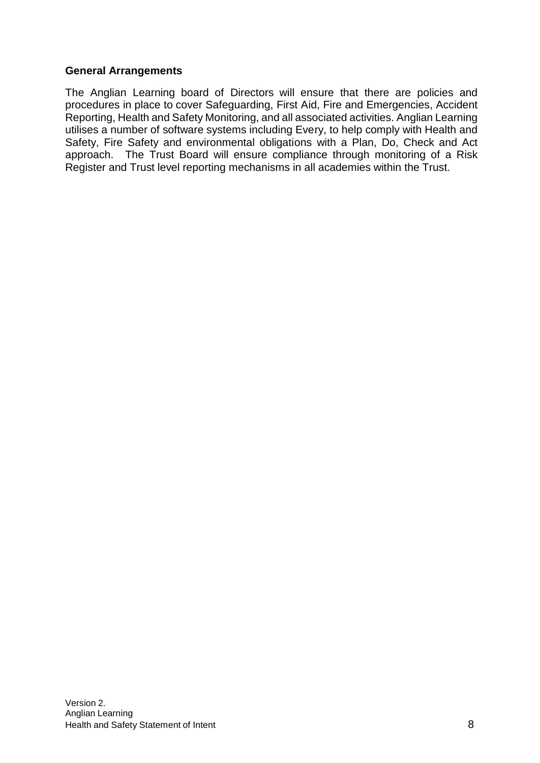#### **General Arrangements**

The Anglian Learning board of Directors will ensure that there are policies and procedures in place to cover Safeguarding, First Aid, Fire and Emergencies, Accident Reporting, Health and Safety Monitoring, and all associated activities. Anglian Learning utilises a number of software systems including Every, to help comply with Health and Safety, Fire Safety and environmental obligations with a Plan, Do, Check and Act approach. The Trust Board will ensure compliance through monitoring of a Risk Register and Trust level reporting mechanisms in all academies within the Trust.